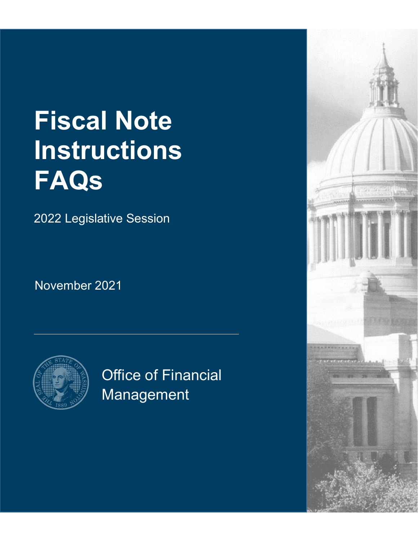# **Fiscal Note Instructions FAQs**

2022 Legislative Session

November 2021



Office of Financial Management

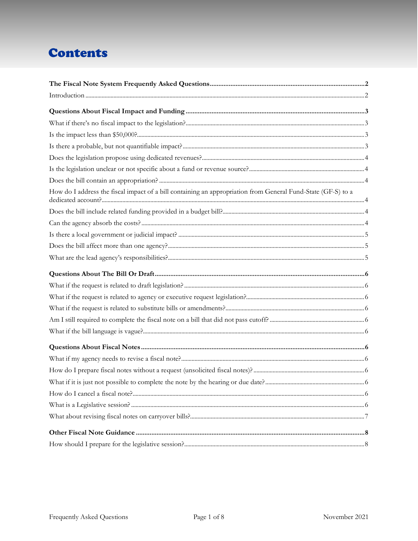# **Contents**

| How do I address the fiscal impact of a bill containing an appropriation from General Fund-State (GF-S) to a |  |
|--------------------------------------------------------------------------------------------------------------|--|
|                                                                                                              |  |
|                                                                                                              |  |
|                                                                                                              |  |
|                                                                                                              |  |
|                                                                                                              |  |
|                                                                                                              |  |
|                                                                                                              |  |
|                                                                                                              |  |
|                                                                                                              |  |
|                                                                                                              |  |
|                                                                                                              |  |
|                                                                                                              |  |
|                                                                                                              |  |
|                                                                                                              |  |
|                                                                                                              |  |
|                                                                                                              |  |
|                                                                                                              |  |
|                                                                                                              |  |
|                                                                                                              |  |
|                                                                                                              |  |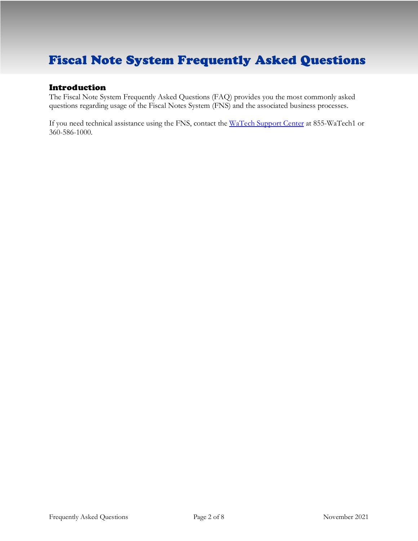# <span id="page-2-0"></span>Fiscal Note System Frequently Asked Questions

# Introduction

<span id="page-2-1"></span>The Fiscal Note System Frequently Asked Questions (FAQ) provides you the most commonly asked questions regarding usage of the Fiscal Notes System (FNS) and the associated business processes.

If you need technical assistance using the FNS, contact the [WaTech Support](mailto:support@WaTech.wa.gov) Center at 855-WaTech1 or 360-586-1000.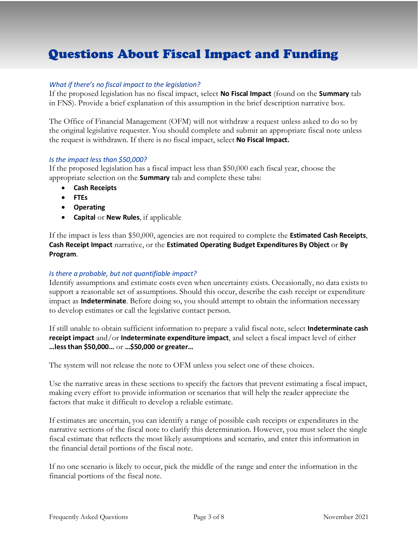# <span id="page-3-1"></span><span id="page-3-0"></span>Questions About Fiscal Impact and Funding

## *What if there's no fiscal impact to the legislation?*

If the proposed legislation has no fiscal impact, select **No Fiscal Impact** (found on the **Summary** tab in FNS). Provide a brief explanation of this assumption in the brief description narrative box.

The Office of Financial Management (OFM) will not withdraw a request unless asked to do so by the original legislative requester. You should complete and submit an appropriate fiscal note unless the request is withdrawn. If there is no fiscal impact, select **No Fiscal Impact.**

#### <span id="page-3-2"></span>*Is the impact less than \$50,000?*

If the proposed legislation has a fiscal impact less than \$50,000 each fiscal year, choose the appropriate selection on the **Summary** tab and complete these tabs:

- **Cash Receipts**
- **FTEs**
- **Operating**
- **Capital** or **New Rules**, if applicable

If the impact is less than \$50,000, agencies are not required to complete the **Estimated Cash Receipts**, **Cash Receipt Impact** narrative, or the **Estimated Operating Budget Expenditures By Object** or **By Program**.

#### <span id="page-3-3"></span>*Is there a probable, but not quantifiable impact?*

Identify assumptions and estimate costs even when uncertainty exists. Occasionally, no data exists to support a reasonable set of assumptions. Should this occur, describe the cash receipt or expenditure impact as **Indeterminate**. Before doing so, you should attempt to obtain the information necessary to develop estimates or call the legislative contact person.

If still unable to obtain sufficient information to prepare a valid fiscal note, select **Indeterminate cash receipt impact** and/or **Indeterminate expenditure impact**, and select a fiscal impact level of either **…less than \$50,000…** or **…\$50,000 or greater…**

The system will not release the note to OFM unless you select one of these choices.

Use the narrative areas in these sections to specify the factors that prevent estimating a fiscal impact, making every effort to provide information or scenarios that will help the reader appreciate the factors that make it difficult to develop a reliable estimate.

If estimates are uncertain, you can identify a range of possible cash receipts or expenditures in the narrative sections of the fiscal note to clarify this determination. However, you must select the single fiscal estimate that reflects the most likely assumptions and scenario, and enter this information in the financial detail portions of the fiscal note.

If no one scenario is likely to occur, pick the middle of the range and enter the information in the financial portions of the fiscal note.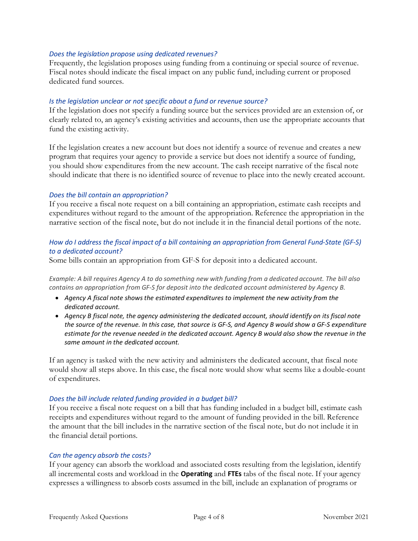#### <span id="page-4-0"></span>*Does the legislation propose using dedicated revenues?*

Frequently, the legislation proposes using funding from a continuing or special source of revenue. Fiscal notes should indicate the fiscal impact on any public fund, including current or proposed dedicated fund sources.

#### <span id="page-4-1"></span>*Is the legislation unclear or not specific about a fund or revenue source?*

If the legislation does not specify a funding source but the services provided are an extension of, or clearly related to, an agency's existing activities and accounts, then use the appropriate accounts that fund the existing activity.

If the legislation creates a new account but does not identify a source of revenue and creates a new program that requires your agency to provide a service but does not identify a source of funding, you should show expenditures from the new account. The cash receipt narrative of the fiscal note should indicate that there is no identified source of revenue to place into the newly created account.

#### <span id="page-4-2"></span>*Does the bill contain an appropriation?*

If you receive a fiscal note request on a bill containing an appropriation, estimate cash receipts and expenditures without regard to the amount of the appropriation. Reference the appropriation in the narrative section of the fiscal note, but do not include it in the financial detail portions of the note.

## <span id="page-4-3"></span>*How do I address the fiscal impact of a bill containing an appropriation from General Fund-State (GF-S) to a dedicated account?*

Some bills contain an appropriation from GF-S for deposit into a dedicated account.

*Example: A bill requires Agency A to do something new with funding from a dedicated account. The bill also contains an appropriation from GF-S for deposit into the dedicated account administered by Agency B.*

- *Agency A fiscal note shows the estimated expenditures to implement the new activity from the dedicated account.*
- *Agency B fiscal note, the agency administering the dedicated account, should identify on its fiscal note the source of the revenue. In this case, that source is GF-S, and Agency B would show a GF-S expenditure estimate for the revenue needed in the dedicated account. Agency B would also show the revenue in the same amount in the dedicated account.*

If an agency is tasked with the new activity and administers the dedicated account, that fiscal note would show all steps above. In this case, the fiscal note would show what seems like a double-count of expenditures.

## <span id="page-4-4"></span>*Does the bill include related funding provided in a budget bill?*

If you receive a fiscal note request on a bill that has funding included in a budget bill, estimate cash receipts and expenditures without regard to the amount of funding provided in the bill. Reference the amount that the bill includes in the narrative section of the fiscal note, but do not include it in the financial detail portions.

#### <span id="page-4-5"></span>*Can the agency absorb the costs?*

If your agency can absorb the workload and associated costs resulting from the legislation, identify all incremental costs and workload in the **Operating** and **FTEs** tabs of the fiscal note. If your agency expresses a willingness to absorb costs assumed in the bill, include an explanation of programs or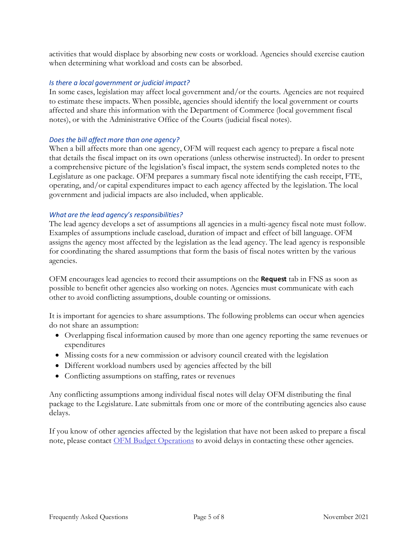activities that would displace by absorbing new costs or workload. Agencies should exercise caution when determining what workload and costs can be absorbed.

## <span id="page-5-0"></span>*Is there a local government or judicial impact?*

In some cases, legislation may affect local government and/or the courts. Agencies are not required to estimate these impacts. When possible, agencies should identify the local government or courts affected and share this information with the Department of Commerce (local government fiscal notes), or with the Administrative Office of the Courts (judicial fiscal notes).

## <span id="page-5-1"></span>*Does the bill affect more than one agency?*

When a bill affects more than one agency, OFM will request each agency to prepare a fiscal note that details the fiscal impact on its own operations (unless otherwise instructed). In order to present a comprehensive picture of the legislation's fiscal impact, the system sends completed notes to the Legislature as one package. OFM prepares a summary fiscal note identifying the cash receipt, FTE, operating, and/or capital expenditures impact to each agency affected by the legislation. The local government and judicial impacts are also included, when applicable.

## <span id="page-5-2"></span>*What are the lead agency's responsibilities?*

The lead agency develops a set of assumptions all agencies in a multi-agency fiscal note must follow. Examples of assumptions include caseload, duration of impact and effect of bill language. OFM assigns the agency most affected by the legislation as the lead agency. The lead agency is responsible for coordinating the shared assumptions that form the basis of fiscal notes written by the various agencies.

OFM encourages lead agencies to record their assumptions on the **Request** tab in FNS as soon as possible to benefit other agencies also working on notes. Agencies must communicate with each other to avoid conflicting assumptions, double counting or omissions.

It is important for agencies to share assumptions. The following problems can occur when agencies do not share an assumption:

- Overlapping fiscal information caused by more than one agency reporting the same revenues or expenditures
- Missing costs for a new commission or advisory council created with the legislation
- Different workload numbers used by agencies affected by the bill
- Conflicting assumptions on staffing, rates or revenues

Any conflicting assumptions among individual fiscal notes will delay OFM distributing the final package to the Legislature. Late submittals from one or more of the contributing agencies also cause delays.

<span id="page-5-3"></span>If you know of other agencies affected by the legislation that have not been asked to prepare a fiscal note, please contact [OFM Budget Operations](mailto::Budget.Operations@ofm.wa.gov) to avoid delays in contacting these other agencies.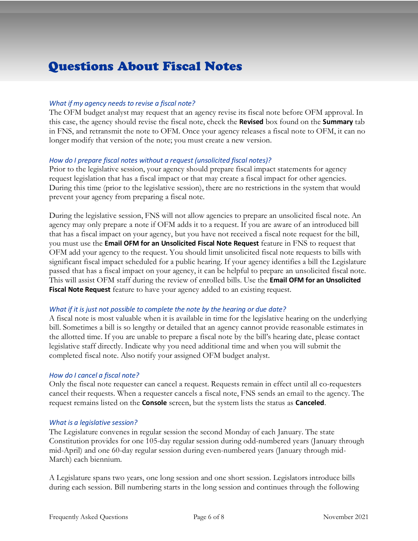# <span id="page-6-1"></span><span id="page-6-0"></span>Questions About Fiscal Notes

## <span id="page-6-2"></span>*What if my agency needs to revise a fiscal note?*

The OFM budget analyst may request that an agency revise its fiscal note before OFM approval. In this case, the agency should revise the fiscal note, check the **Revised** box found on the **Summary** tab in FNS, and retransmit the note to OFM. Once your agency releases a fiscal note to OFM, it can no longer modify that version of the note; you must create a new version.

## <span id="page-6-3"></span>*How do I prepare fiscal notes without a request (unsolicited fiscal notes)?*

Prior to the legislative session, your agency should prepare fiscal impact statements for agency request legislation that has a fiscal impact or that may create a fiscal impact for other agencies. During this time (prior to the legislative session), there are no restrictions in the system that would prevent your agency from preparing a fiscal note.

During the legislative session, FNS will not allow agencies to prepare an unsolicited fiscal note. An agency may only prepare a note if OFM adds it to a request. If you are aware of an introduced bill that has a fiscal impact on your agency, but you have not received a fiscal note request for the bill, you must use the **Email OFM for an Unsolicited Fiscal Note Request** feature in FNS to request that OFM add your agency to the request. You should limit unsolicited fiscal note requests to bills with significant fiscal impact scheduled for a public hearing. If your agency identifies a bill the Legislature passed that has a fiscal impact on your agency, it can be helpful to prepare an unsolicited fiscal note. This will assist OFM staff during the review of enrolled bills. Use the **Email OFM for an Unsolicited Fiscal Note Request** feature to have your agency added to an existing request.

## <span id="page-6-4"></span>*What if it is just not possible to complete the note by the hearing or due date?*

A fiscal note is most valuable when it is available in time for the legislative hearing on the underlying bill. Sometimes a bill is so lengthy or detailed that an agency cannot provide reasonable estimates in the allotted time. If you are unable to prepare a fiscal note by the bill's hearing date, please contact legislative staff directly. Indicate why you need additional time and when you will submit the completed fiscal note. Also notify your assigned OFM budget analyst.

## <span id="page-6-5"></span>*How do I cancel a fiscal note?*

Only the fiscal note requester can cancel a request. Requests remain in effect until all co-requesters cancel their requests. When a requester cancels a fiscal note, FNS sends an email to the agency. The request remains listed on the **Console** screen, but the system lists the status as **Canceled**.

#### <span id="page-6-6"></span>*What is a legislative session?*

The Legislature convenes in regular session the second Monday of each January. The state Constitution provides for one 105-day regular session during odd-numbered years (January through mid-April) and one 60-day regular session during even-numbered years (January through mid-March) each biennium.

A Legislature spans two years, one long session and one short session. Legislators introduce bills during each session. Bill numbering starts in the long session and continues through the following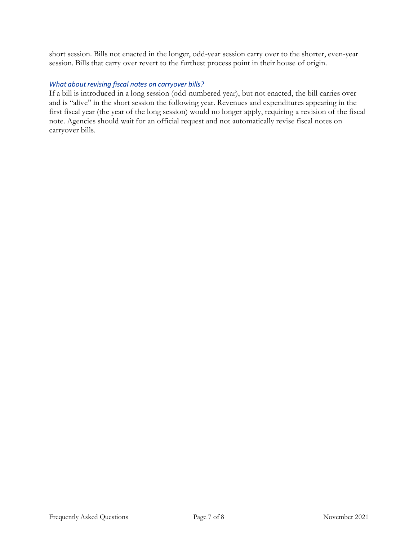short session. Bills not enacted in the longer, odd-year session carry over to the shorter, even-year session. Bills that carry over revert to the furthest process point in their house of origin.

## <span id="page-7-0"></span>*What about revising fiscal notes on carryover bills?*

<span id="page-7-1"></span>If a bill is introduced in a long session (odd-numbered year), but not enacted, the bill carries over and is "alive" in the short session the following year. Revenues and expenditures appearing in the first fiscal year (the year of the long session) would no longer apply, requiring a revision of the fiscal note. Agencies should wait for an official request and not automatically revise fiscal notes on carryover bills.